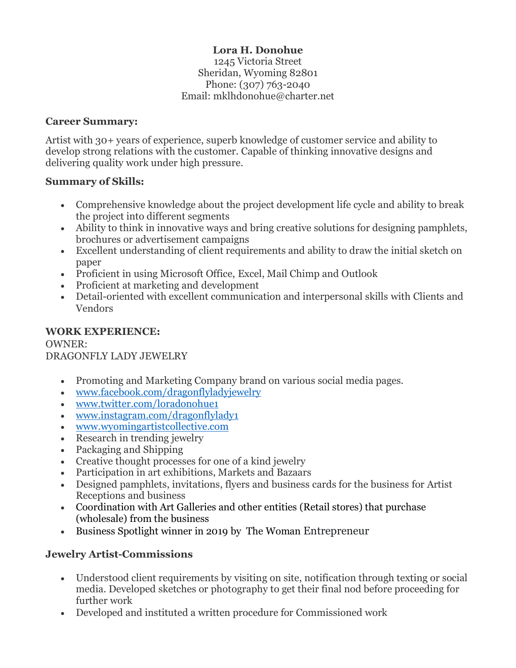## **Lora H. Donohue**

1245 Victoria Street Sheridan, Wyoming 82801 Phone: (307) 763-2040 Email: mklhdonohue@charter.net

#### **Career Summary:**

Artist with 30+ years of experience, superb knowledge of customer service and ability to develop strong relations with the customer. Capable of thinking innovative designs and delivering quality work under high pressure.

#### **Summary of Skills:**

- Comprehensive knowledge about the project development life cycle and ability to break the project into different segments
- Ability to think in innovative ways and bring creative solutions for designing pamphlets, brochures or advertisement campaigns
- Excellent understanding of client requirements and ability to draw the initial sketch on paper
- Proficient in using Microsoft Office, Excel, Mail Chimp and Outlook
- Proficient at marketing and development
- Detail-oriented with excellent communication and interpersonal skills with Clients and Vendors

#### **WORK EXPERIENCE:** OWNER:

### DRAGONFLY LADY JEWELRY

- Promoting and Marketing Company brand on various social media pages.
- [www.facebook.com/dragonflyladyjewelry](http://www.facebook.com/dragonflyladyjewelry)
- [www.twitter.com/loradonohue1](http://www.twitter.com/loradonohue1)
- [www.instagram.com/dragonflylady1](http://www.instagram.com/dragonflylady1)
- [www.wyomingartistcollective.com](http://www.wyomingartistcollective.com/)
- Research in trending jewelry
- Packaging and Shipping
- Creative thought processes for one of a kind jewelry
- Participation in art exhibitions, Markets and Bazaars
- Designed pamphlets, invitations, flyers and business cards for the business for Artist Receptions and business
- Coordination with Art Galleries and other entities (Retail stores) that purchase (wholesale) from the business
- Business Spotlight winner in 2019 by The Woman Entrepreneur

### **Jewelry Artist-Commissions**

- Understood client requirements by visiting on site, notification through texting or social media. Developed sketches or photography to get their final nod before proceeding for further work
- Developed and instituted a written procedure for Commissioned work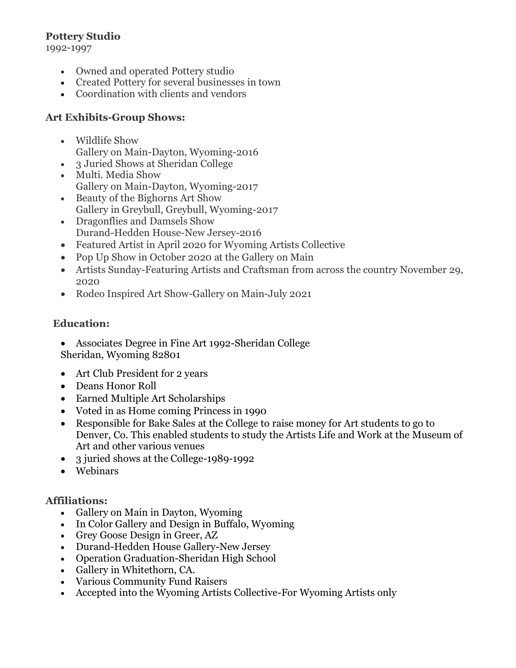## **Pottery Studio**

1992-1997

- Owned and operated Pottery studio
- Created Pottery for several businesses in town
- Coordination with clients and vendors

## **Art Exhibits-Group Shows:**

- Wildlife Show Gallery on Main-Dayton, Wyoming-2016
- 3 Juried Shows at Sheridan College
- Multi. Media Show Gallery on Main-Dayton, Wyoming-2017
- Beauty of the Bighorns Art Show Gallery in Greybull, Greybull, Wyoming-2017
- Dragonflies and Damsels Show Durand-Hedden House-New Jersey-2016
- Featured Artist in April 2020 for Wyoming Artists Collective
- Pop Up Show in October 2020 at the Gallery on Main
- Artists Sunday-Featuring Artists and Craftsman from across the country November 29, 2020
- Rodeo Inspired Art Show-Gallery on Main-July 2021

### **Education:**

- Associates Degree in Fine Art 1992-Sheridan College Sheridan, Wyoming 82801
- Art Club President for 2 years
- Deans Honor Roll
- Earned Multiple Art Scholarships
- Voted in as Home coming Princess in 1990
- Responsible for Bake Sales at the College to raise money for Art students to go to Denver, Co. This enabled students to study the Artists Life and Work at the Museum of Art and other various venues
- 3 juried shows at the College-1989-1992
- Webinars

## **Affiliations:**

- Gallery on Main in Dayton, Wyoming
- In Color Gallery and Design in Buffalo, Wyoming
- Grey Goose Design in Greer, AZ
- Durand-Hedden House Gallery-New Jersey
- Operation Graduation-Sheridan High School
- Gallery in Whitethorn, CA.
- Various Community Fund Raisers
- Accepted into the Wyoming Artists Collective-For Wyoming Artists only